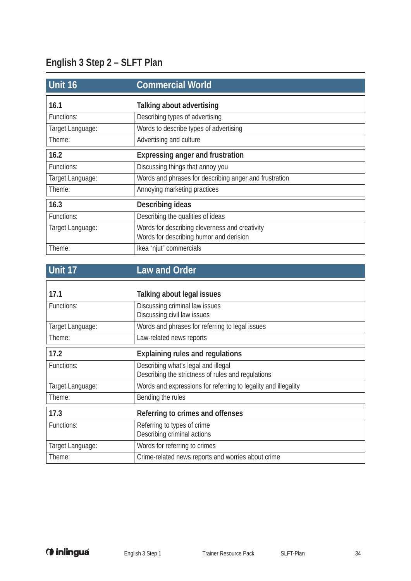## **English 3 Step 2 – SLFT Plan**

| <b>Unit 16</b>   | <b>Commercial World</b>                                                                   |
|------------------|-------------------------------------------------------------------------------------------|
| 16.1             | Talking about advertising                                                                 |
| Functions:       | Describing types of advertising                                                           |
| Target Language: | Words to describe types of advertising                                                    |
| Theme:           | Advertising and culture                                                                   |
| 16.2             | <b>Expressing anger and frustration</b>                                                   |
| Functions:       | Discussing things that annoy you                                                          |
| Target Language: | Words and phrases for describing anger and frustration                                    |
| Theme:           | Annoying marketing practices                                                              |
| 16.3             | Describing ideas                                                                          |
| Functions:       | Describing the qualities of ideas                                                         |
| Target Language: | Words for describing cleverness and creativity<br>Words for describing humor and derision |
| Theme:           | Ikea "njut" commercials                                                                   |

## **Unit 17 Law and Order**

| 17.1             | Talking about legal issues                                     |
|------------------|----------------------------------------------------------------|
| Functions:       | Discussing criminal law issues                                 |
|                  | Discussing civil law issues                                    |
| Target Language: | Words and phrases for referring to legal issues                |
| Theme:           | Law-related news reports                                       |
| 17.2             | <b>Explaining rules and regulations</b>                        |
| Functions:       | Describing what's legal and illegal                            |
|                  | Describing the strictness of rules and regulations             |
| Target Language: | Words and expressions for referring to legality and illegality |
| Theme:           | Bending the rules                                              |
| 17.3             | Referring to crimes and offenses                               |
| Functions:       | Referring to types of crime                                    |
|                  | Describing criminal actions                                    |
| Target Language: | Words for referring to crimes                                  |
| Theme:           | Crime-related news reports and worries about crime             |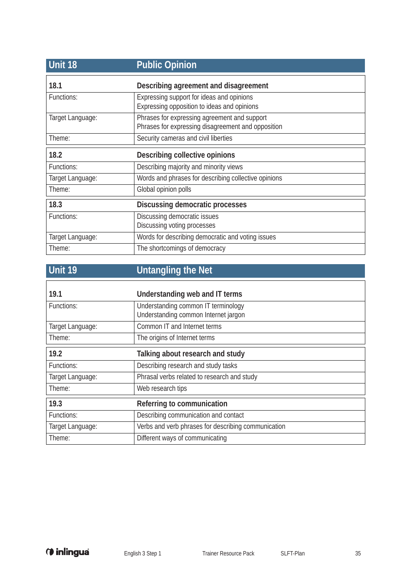| Unit 18          | <b>Public Opinion</b>                                                                              |
|------------------|----------------------------------------------------------------------------------------------------|
| 18.1             | Describing agreement and disagreement                                                              |
| Functions:       | Expressing support for ideas and opinions<br>Expressing opposition to ideas and opinions           |
| Target Language: | Phrases for expressing agreement and support<br>Phrases for expressing disagreement and opposition |
| Theme:           | Security cameras and civil liberties                                                               |
| 18.2             | Describing collective opinions                                                                     |
| Functions:       | Describing majority and minority views                                                             |
| Target Language: | Words and phrases for describing collective opinions                                               |
| Theme:           | Global opinion polls                                                                               |
| 18.3             | Discussing democratic processes                                                                    |
| Functions:       | Discussing democratic issues<br>Discussing voting processes                                        |
| Target Language: | Words for describing democratic and voting issues                                                  |
| Theme:           | The shortcomings of democracy                                                                      |

## **Unit 19 Untangling the Net**

| 19.1             | Understanding web and IT terms                                              |
|------------------|-----------------------------------------------------------------------------|
| Functions:       | Understanding common IT terminology<br>Understanding common Internet jargon |
| Target Language: | Common IT and Internet terms                                                |
| Theme:           | The origins of Internet terms                                               |
| 19.2             | Talking about research and study                                            |
| Functions:       | Describing research and study tasks                                         |
| Target Language: | Phrasal verbs related to research and study                                 |
| Theme:           | Web research tips                                                           |
| 19.3             | Referring to communication                                                  |
| Functions:       | Describing communication and contact                                        |
| Target Language: | Verbs and verb phrases for describing communication                         |
| Theme:           | Different ways of communicating                                             |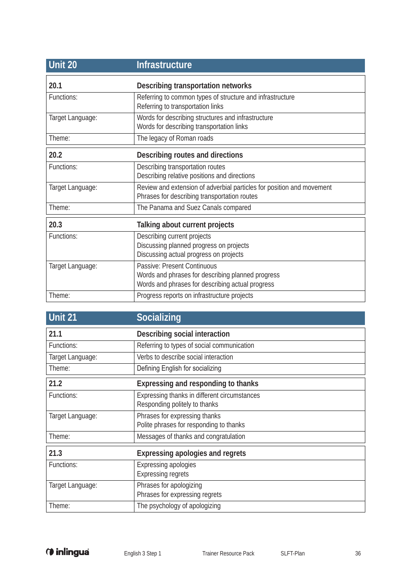| Unit 20          | <b>Infrastructure</b>                                                                                                                |
|------------------|--------------------------------------------------------------------------------------------------------------------------------------|
| 20.1             | Describing transportation networks                                                                                                   |
| Functions:       | Referring to common types of structure and infrastructure<br>Referring to transportation links                                       |
| Target Language: | Words for describing structures and infrastructure<br>Words for describing transportation links                                      |
| Theme:           | The legacy of Roman roads                                                                                                            |
| 20.2             | Describing routes and directions                                                                                                     |
| Functions:       | Describing transportation routes<br>Describing relative positions and directions                                                     |
| Target Language: | Review and extension of adverbial particles for position and movement<br>Phrases for describing transportation routes                |
| Theme:           | The Panama and Suez Canals compared                                                                                                  |
| 20.3             | Talking about current projects                                                                                                       |
| Functions:       | Describing current projects<br>Discussing planned progress on projects<br>Discussing actual progress on projects                     |
| Target Language: | Passive: Present Continuous<br>Words and phrases for describing planned progress<br>Words and phrases for describing actual progress |
| Theme:           | Progress reports on infrastructure projects                                                                                          |

| Unit 21          | Socializing                                                                   |
|------------------|-------------------------------------------------------------------------------|
| 21.1             | Describing social interaction                                                 |
| Functions:       | Referring to types of social communication                                    |
| Target Language: | Verbs to describe social interaction                                          |
| Theme:           | Defining English for socializing                                              |
| 21.2             | Expressing and responding to thanks                                           |
| Functions:       | Expressing thanks in different circumstances<br>Responding politely to thanks |
| Target Language: | Phrases for expressing thanks<br>Polite phrases for responding to thanks      |
| Theme:           | Messages of thanks and congratulation                                         |
| 21.3             | Expressing apologies and regrets                                              |
| Functions:       | Expressing apologies<br><b>Expressing regrets</b>                             |
| Target Language: | Phrases for apologizing<br>Phrases for expressing regrets                     |
| Theme:           | The psychology of apologizing                                                 |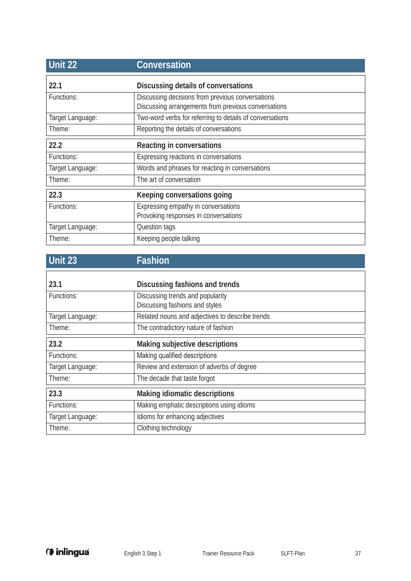| Unit 22          | Conversation                                                                                            |
|------------------|---------------------------------------------------------------------------------------------------------|
| 22.1             | Discussing details of conversations                                                                     |
| Functions:       | Discussing decisions from previous conversations<br>Discussing arrangements from previous conversations |
| Target Language: | Two-word verbs for referring to details of conversations                                                |
| Theme:           | Reporting the details of conversations                                                                  |
| 22.2             | Reacting in conversations                                                                               |
| Functions:       | Expressing reactions in conversations                                                                   |
| Target Language: | Words and phrases for reacting in conversations                                                         |
| Theme:           | The art of conversation                                                                                 |
| 22.3             | Keeping conversations going                                                                             |
| Functions:       | Expressing empathy in conversations                                                                     |
|                  | Provoking responses in conversations                                                                    |
| Target Language: | Question tags                                                                                           |
| Theme:           | Keeping people talking                                                                                  |

| Unit 23 | Fashion |
|---------|---------|
|---------|---------|

| 23.1             | Discussing fashions and trends                                     |
|------------------|--------------------------------------------------------------------|
| Functions:       | Discussing trends and popularity<br>Discussing fashions and styles |
| Target Language: | Related nouns and adjectives to describe trends                    |
| Theme:           | The contradictory nature of fashion                                |
| 23.2             | Making subjective descriptions                                     |
| Functions:       | Making qualified descriptions                                      |
| Target Language: | Review and extension of adverbs of degree                          |
| Theme:           | The decade that taste forgot                                       |
| 23.3             | <b>Making idiomatic descriptions</b>                               |
| Functions:       | Making emphatic descriptions using idioms                          |
| Target Language: | Idioms for enhancing adjectives                                    |
| Theme:           | Clothing technology                                                |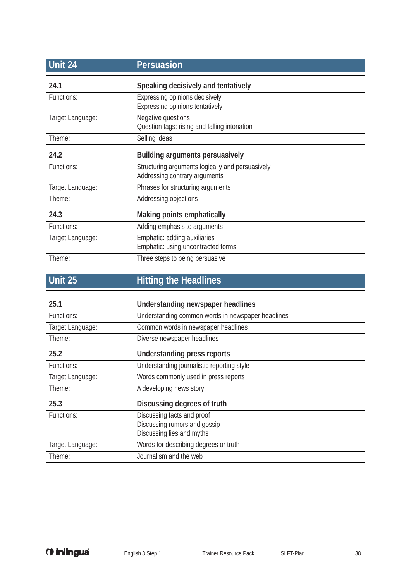| Unit 24          | <b>Persuasion</b>                                                                 |
|------------------|-----------------------------------------------------------------------------------|
| 24.1             | Speaking decisively and tentatively                                               |
| Functions:       | Expressing opinions decisively<br>Expressing opinions tentatively                 |
| Target Language: | Negative questions<br>Question tags: rising and falling intonation                |
| Theme:           | Selling ideas                                                                     |
| 24.2             | Building arguments persuasively                                                   |
| Functions:       | Structuring arguments logically and persuasively<br>Addressing contrary arguments |
| Target Language: | Phrases for structuring arguments                                                 |
| Theme:           | Addressing objections                                                             |
| 24.3             | Making points emphatically                                                        |
| Functions:       | Adding emphasis to arguments                                                      |
| Target Language: | Emphatic: adding auxiliaries<br>Emphatic: using uncontracted forms                |
| Theme:           | Three steps to being persuasive                                                   |

| Unit 25 | Hitting the Headlines' |
|---------|------------------------|
|         |                        |

| 25.1             | Understanding newspaper headlines                                                       |
|------------------|-----------------------------------------------------------------------------------------|
| Functions:       | Understanding common words in newspaper headlines                                       |
| Target Language: | Common words in newspaper headlines                                                     |
| Theme:           | Diverse newspaper headlines                                                             |
| 25.2             | Understanding press reports                                                             |
| Functions:       | Understanding journalistic reporting style                                              |
| Target Language: | Words commonly used in press reports                                                    |
| Theme:           | A developing news story                                                                 |
| 25.3             | Discussing degrees of truth                                                             |
| Functions:       | Discussing facts and proof<br>Discussing rumors and gossip<br>Discussing lies and myths |
|                  |                                                                                         |
| Target Language: | Words for describing degrees or truth                                                   |
| Theme:           | Journalism and the web                                                                  |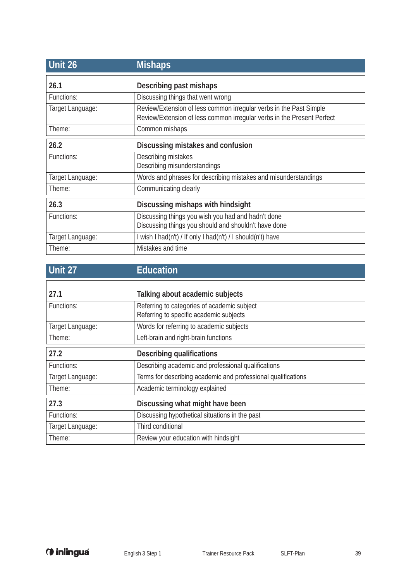| Unit 26          | <b>Mishaps</b>                                                                                                                               |
|------------------|----------------------------------------------------------------------------------------------------------------------------------------------|
| 26.1             | Describing past mishaps                                                                                                                      |
| Functions:       | Discussing things that went wrong                                                                                                            |
| Target Language: | Review/Extension of less common irregular verbs in the Past Simple<br>Review/Extension of less common irregular verbs in the Present Perfect |
| Theme:           | Common mishaps                                                                                                                               |
| 26.2             | Discussing mistakes and confusion                                                                                                            |
| Functions:       | Describing mistakes<br>Describing misunderstandings                                                                                          |
| Target Language: | Words and phrases for describing mistakes and misunderstandings                                                                              |
| Theme:           | Communicating clearly                                                                                                                        |
| 26.3             | Discussing mishaps with hindsight                                                                                                            |
| Functions:       | Discussing things you wish you had and hadn't done<br>Discussing things you should and shouldn't have done                                   |
| Target Language: | I wish I had(n't) / If only I had(n't) / I should(n't) have                                                                                  |
| Theme:           | Mistakes and time                                                                                                                            |

| 27.1             | Talking about academic subjects                                                        |
|------------------|----------------------------------------------------------------------------------------|
| Functions:       | Referring to categories of academic subject<br>Referring to specific academic subjects |
| Target Language: | Words for referring to academic subjects                                               |
| Theme:           | Left-brain and right-brain functions                                                   |
| 27.2             | <b>Describing qualifications</b>                                                       |
| Functions:       | Describing academic and professional qualifications                                    |
| Target Language: | Terms for describing academic and professional qualifications                          |
| Theme:           | Academic terminology explained                                                         |
| 27.3             | Discussing what might have been                                                        |
| Functions:       | Discussing hypothetical situations in the past                                         |
| Target Language: | Third conditional                                                                      |
| Theme:           | Review your education with hindsight                                                   |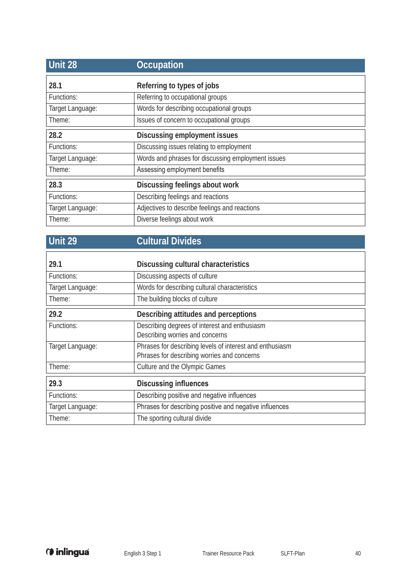| Unit 28          | <b>Occupation</b>                                  |
|------------------|----------------------------------------------------|
| 28.1             | Referring to types of jobs                         |
| Functions:       | Referring to occupational groups                   |
| Target Language: | Words for describing occupational groups           |
| Theme:           | Issues of concern to occupational groups           |
| 28.2             | Discussing employment issues                       |
| Functions:       | Discussing issues relating to employment           |
| Target Language: | Words and phrases for discussing employment issues |
| Theme:           | Assessing employment benefits                      |
| 28.3             | Discussing feelings about work                     |
| Functions:       | Describing feelings and reactions                  |
| Target Language: | Adjectives to describe feelings and reactions      |
| Theme:           | Diverse feelings about work                        |

| 29.1             | Discussing cultural characteristics                      |
|------------------|----------------------------------------------------------|
| Functions:       | Discussing aspects of culture                            |
| Target Language: | Words for describing cultural characteristics            |
| Theme:           | The building blocks of culture                           |
| 29.2             | Describing attitudes and perceptions                     |
| Functions:       | Describing degrees of interest and enthusiasm            |
|                  | Describing worries and concerns                          |
| Target Language: | Phrases for describing levels of interest and enthusiasm |
|                  | Phrases for describing worries and concerns              |
| Theme:           | Culture and the Olympic Games                            |
| 29.3             | <b>Discussing influences</b>                             |
| Functions:       | Describing positive and negative influences              |
| Target Language: | Phrases for describing positive and negative influences  |
| Theme:           | The sporting cultural divide                             |

 $\overline{1}$